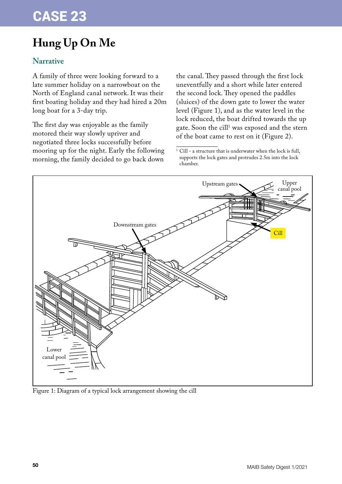## **Hung Up On Me**

## **Narrative**

A family of three were looking forward to a late summer holiday on a narrowboat on the North of England canal network. It was their first boating holiday and they had hired a 20m long boat for a 3-day trip.

The first day was enjoyable as the family motored their way slowly upriver and negotiated three locks successfully before mooring up for the night. Early the following morning, the family decided to go back down

the canal. They passed through the first lock uneventfully and a short while later entered the second lock. They opened the paddles (sluices) of the down gate to lower the water level (Figure 1), and as the water level in the lock reduced, the boat drifted towards the up gate. Soon the cill<sup>1</sup> was exposed and the stern of the boat came to rest on it (Figure 2).

 $^{\rm 1}$  Cill - a structure that is underwater when the lock is full, supports the lock gates and protrudes 2.5m into the lock chamber.



Figure 1: Diagram of a typical lock arrangement showing the cill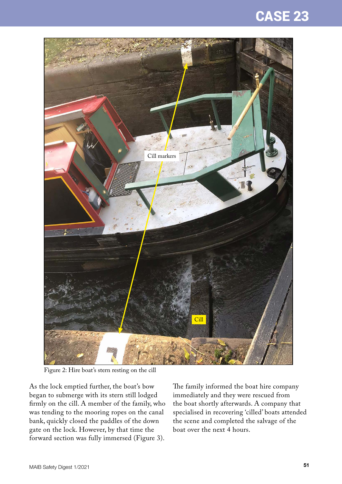



Figure 2: Hire boat's stern resting on the cill

As the lock emptied further, the boat's bow began to submerge with its stern still lodged firmly on the cill. A member of the family, who was tending to the mooring ropes on the canal bank, quickly closed the paddles of the down gate on the lock. However, by that time the forward section was fully immersed (Figure 3).

The family informed the boat hire company immediately and they were rescued from the boat shortly afterwards. A company that specialised in recovering 'cilled' boats attended the scene and completed the salvage of the boat over the next 4 hours.